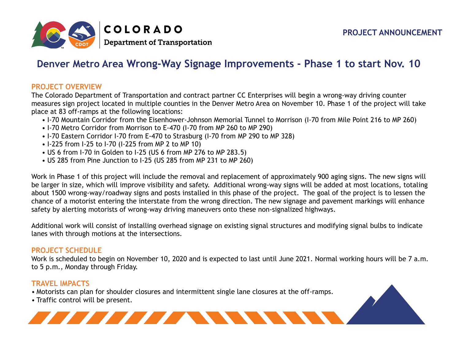

# **Denver Metro Area Wrong-Way Signage Improvements - Phase 1 to start Nov. 10**

#### **PROJECT OVERVIEW**

The Colorado Department of Transportation and contract partner CC Enterprises will begin a wrong-way driving counter measures sign project located in multiple counties in the Denver Metro Area on November 10. Phase 1 of the project will take place at 83 off-ramps at the following locations:

- I-70 Mountain Corridor from the Eisenhower-Johnson Memorial Tunnel to Morrison (I-70 from Mile Point 216 to MP 260)
- I-70 Metro Corridor from Morrison to E-470 (I-70 from MP 260 to MP 290)
- I-70 Eastern Corridor I-70 from E-470 to Strasburg (I-70 from MP 290 to MP 328)
- I-225 from I-25 to I-70 (I-225 from MP 2 to MP 10)
- US 6 from I-70 in Golden to I-25 (US 6 from MP 276 to MP 283.5)
- US 285 from Pine Junction to I-25 (US 285 from MP 231 to MP 260)

Work in Phase 1 of this project will include the removal and replacement of approximately 900 aging signs. The new signs will be larger in size, which will improve visibility and safety. Additional wrong-way signs will be added at most locations, totaling about 1500 wrong-way/roadway signs and posts installed in this phase of the project. The goal of the project is to lessen the chance of a motorist entering the interstate from the wrong direction. The new signage and pavement markings will enhance safety by alerting motorists of wrong-way driving maneuvers onto these non-signalized highways.

Additional work will consist of installing overhead signage on existing signal structures and modifying signal bulbs to indicate lanes with through motions at the intersections.

#### **PROJECT SCHEDULE**

Work is scheduled to begin on November 10, 2020 and is expected to last until June 2021. Normal working hours will be 7 a.m. to 5 p.m., Monday through Friday.

## **TRAVEL IMPACTS**

- Motorists can plan for shoulder closures and intermittent single lane closures at the off-ramps.
- Traffic control will be present.